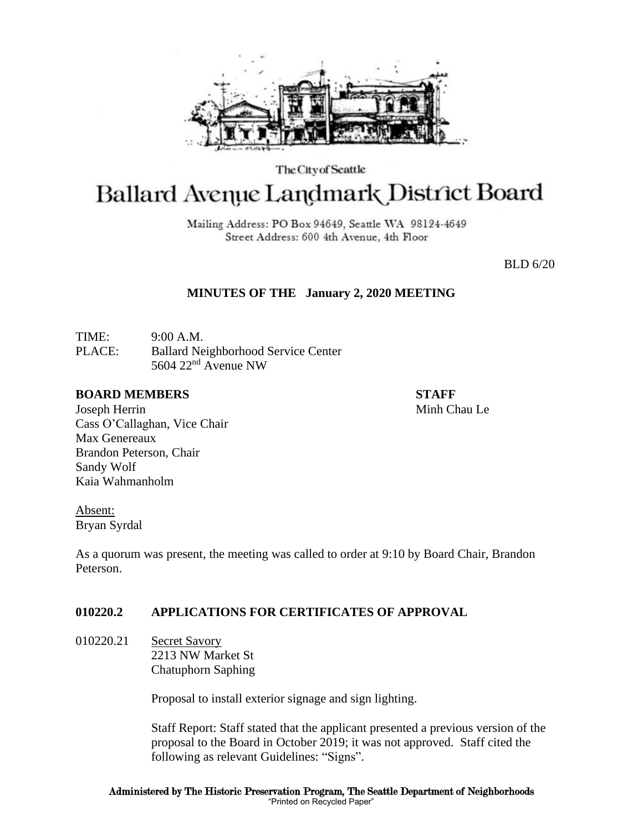

The City of Seattle

# Ballard Avenue Landmark District Board

Mailing Address: PO Box 94649, Seattle WA 98124-4649 Street Address: 600 4th Avenue, 4th Floor

BLD 6/20

## **MINUTES OF THE January 2, 2020 MEETING**

TIME: 9:00 A.M. PLACE: Ballard Neighborhood Service Center 5604 22nd Avenue NW

#### **BOARD MEMBERS STAFF**

Joseph Herrin Minh Chau Le Cass O'Callaghan, Vice Chair Max Genereaux Brandon Peterson, Chair Sandy Wolf Kaia Wahmanholm

Absent: Bryan Syrdal

As a quorum was present, the meeting was called to order at 9:10 by Board Chair, Brandon Peterson.

## **010220.2 APPLICATIONS FOR CERTIFICATES OF APPROVAL**

010220.21 Secret Savory 2213 NW Market St Chatuphorn Saphing

Proposal to install exterior signage and sign lighting.

Staff Report: Staff stated that the applicant presented a previous version of the proposal to the Board in October 2019; it was not approved. Staff cited the following as relevant Guidelines: "Signs".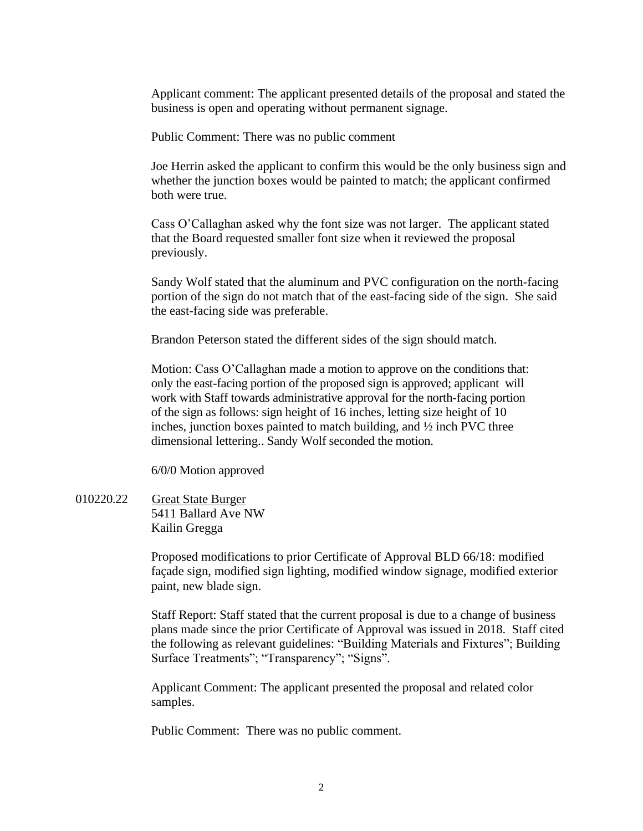Applicant comment: The applicant presented details of the proposal and stated the business is open and operating without permanent signage.

Public Comment: There was no public comment

Joe Herrin asked the applicant to confirm this would be the only business sign and whether the junction boxes would be painted to match; the applicant confirmed both were true.

Cass O'Callaghan asked why the font size was not larger. The applicant stated that the Board requested smaller font size when it reviewed the proposal previously.

Sandy Wolf stated that the aluminum and PVC configuration on the north-facing portion of the sign do not match that of the east-facing side of the sign. She said the east-facing side was preferable.

Brandon Peterson stated the different sides of the sign should match.

Motion: Cass O'Callaghan made a motion to approve on the conditions that: only the east-facing portion of the proposed sign is approved; applicant will work with Staff towards administrative approval for the north-facing portion of the sign as follows: sign height of 16 inches, letting size height of 10 inches, junction boxes painted to match building, and ½ inch PVC three dimensional lettering.. Sandy Wolf seconded the motion.

6/0/0 Motion approved

010220.22 Great State Burger 5411 Ballard Ave NW Kailin Gregga

> Proposed modifications to prior Certificate of Approval BLD 66/18: modified façade sign, modified sign lighting, modified window signage, modified exterior paint, new blade sign.

Staff Report: Staff stated that the current proposal is due to a change of business plans made since the prior Certificate of Approval was issued in 2018. Staff cited the following as relevant guidelines: "Building Materials and Fixtures"; Building Surface Treatments"; "Transparency"; "Signs".

Applicant Comment: The applicant presented the proposal and related color samples.

Public Comment: There was no public comment.